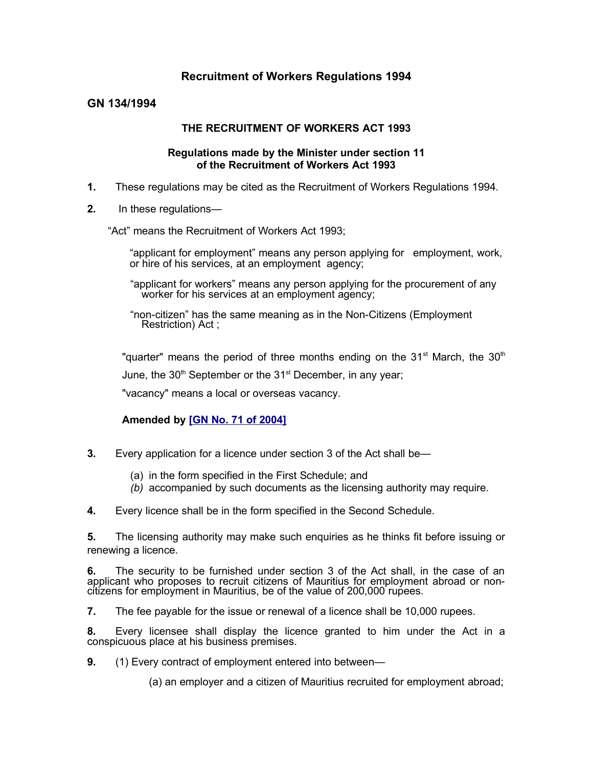## **Recruitment of Workers Regulations 1994**

## **GN 134/1994**

### **THE RECRUITMENT OF WORKERS ACT 1993**

#### **Regulations made by the Minister under section 11 of the Recruitment of Workers Act 1993**

- **1.** These regulations may be cited as the Recruitment of Workers Regulations 1994.
- **2.** In these regulations—

"Act" means the Recruitment of Workers Act 1993;

- "applicant for employment" means any person applying for employment, work, or hire of his services, at an employment agency;
- "applicant for workers" means any person applying for the procurement of any worker for his services at an employment agency;
- "non-citizen" has the same meaning as in the Non-Citizens (Employment Restriction) Act ;

"quarter" means the period of three months ending on the  $31<sup>st</sup>$  March, the  $30<sup>th</sup>$ 

June, the 30<sup>th</sup> September or the 31<sup>st</sup> December, in any year;

"vacancy" means a local or overseas vacancy.

## **Amended by [\[GN No. 71 of 2004\]](http://www.gov.mu/scourt/doc/showDoc.do?dk=GN%20No.%2071%20of%202004&dt=R)**

- **3.** Every application for a licence under section 3 of the Act shall be—
	- (a) in the form specified in the First Schedule; and
	- *(b)* accompanied by such documents as the licensing authority may require.
- **4.** Every licence shall be in the form specified in the Second Schedule.

**5.** The licensing authority may make such enquiries as he thinks fit before issuing or renewing a licence.

**6.** The security to be furnished under section 3 of the Act shall, in the case of an applicant who proposes to recruit citizens of Mauritius for employment abroad or noncitizens for employment in Mauritius, be of the value of 200,000 rupees.

**7.** The fee payable for the issue or renewal of a licence shall be 10,000 rupees.

**8.** Every licensee shall display the licence granted to him under the Act in a conspicuous place at his business premises.

**9.** (1) Every contract of employment entered into between—

(a) an employer and a citizen of Mauritius recruited for employment abroad;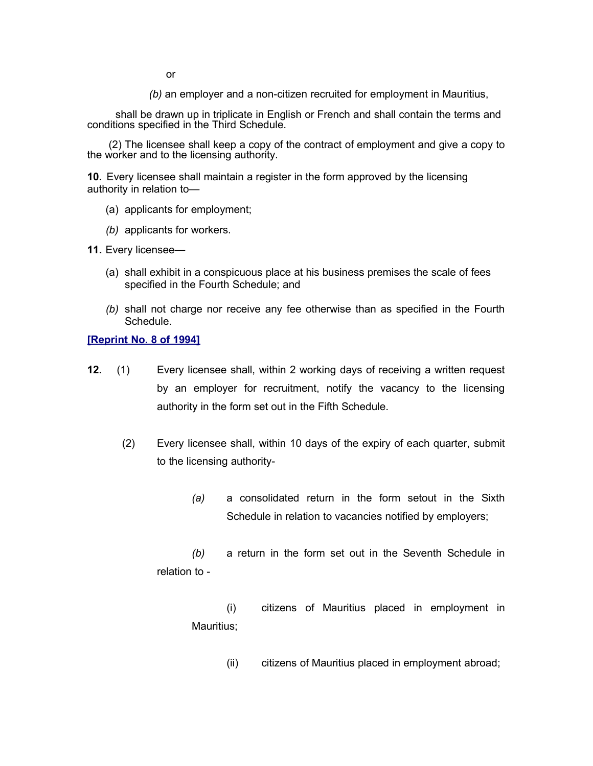or

*(b)* an employer and a non-citizen recruited for employment in Mauritius,

shall be drawn up in triplicate in English or French and shall contain the terms and conditions specified in the Third Schedule.

 (2) The licensee shall keep a copy of the contract of employment and give a copy to the worker and to the licensing authority.

**10.** Every licensee shall maintain a register in the form approved by the licensing authority in relation to—

- (a) applicants for employment;
- *(b)* applicants for workers.

**11.** Every licensee—

- (a) shall exhibit in a conspicuous place at his business premises the scale of fees specified in the Fourth Schedule; and
- *(b)* shall not charge nor receive any fee otherwise than as specified in the Fourth Schedule.

#### **[\[Reprint No. 8 of 1994\]](http://www.gov.mu/scourt/doc/showDoc.do?dk=Reprint%20No.%208%20of%201994&dt=R)**

- **12.** (1) Every licensee shall, within 2 working days of receiving a written request by an employer for recruitment, notify the vacancy to the licensing authority in the form set out in the Fifth Schedule.
	- (2) Every licensee shall, within 10 days of the expiry of each quarter, submit to the licensing authority-
		- *(a)* a consolidated return in the form setout in the Sixth Schedule in relation to vacancies notified by employers;

*(b)* a return in the form set out in the Seventh Schedule in relation to -

(i) citizens of Mauritius placed in employment in Mauritius;

(ii) citizens of Mauritius placed in employment abroad;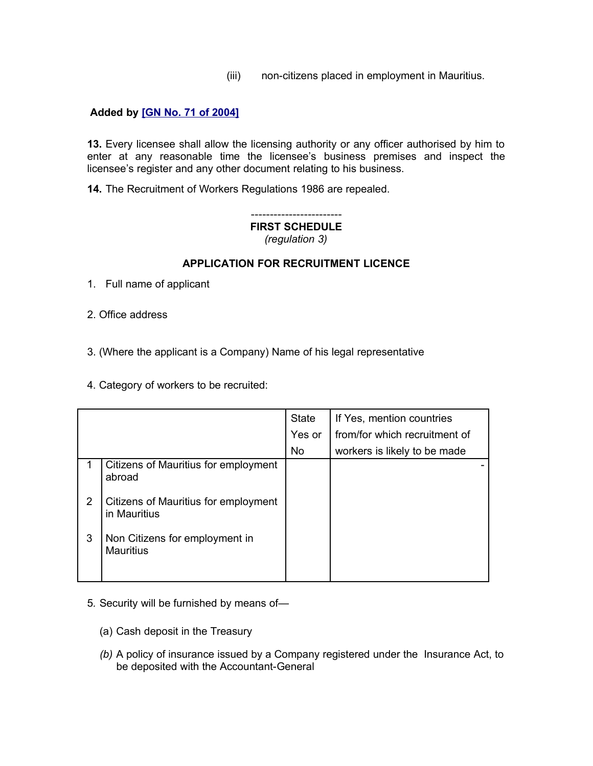(iii) non-citizens placed in employment in Mauritius.

## **Added by [\[GN No. 71 of 2004\]](http://www.gov.mu/scourt/doc/showDoc.do?dk=GN%20No.%2071%20of%202004&dt=R)**

**13.** Every licensee shall allow the licensing authority or any officer authorised by him to enter at any reasonable time the licensee's business premises and inspect the licensee's register and any other document relating to his business.

**14.** The Recruitment of Workers Regulations 1986 are repealed.

### ------------------------ **FIRST SCHEDULE** *(regulation 3)*

## **APPLICATION FOR RECRUITMENT LICENCE**

- 1. Full name of applicant
- 2. Office address

3. (Where the applicant is a Company) Name of his legal representative

4. Category of workers to be recruited:

|   |                                                      | <b>State</b> | If Yes, mention countries     |
|---|------------------------------------------------------|--------------|-------------------------------|
|   |                                                      | Yes or       | from/for which recruitment of |
|   |                                                      | <b>No</b>    | workers is likely to be made  |
|   | Citizens of Mauritius for employment<br>abroad       |              |                               |
| 2 | Citizens of Mauritius for employment<br>in Mauritius |              |                               |
| 3 | Non Citizens for employment in<br><b>Mauritius</b>   |              |                               |

- 5*.* Security will be furnished by means of—
	- (a) Cash deposit in the Treasury
	- *(b)* A policy of insurance issued by a Company registered under the Insurance Act, to be deposited with the Accountant-General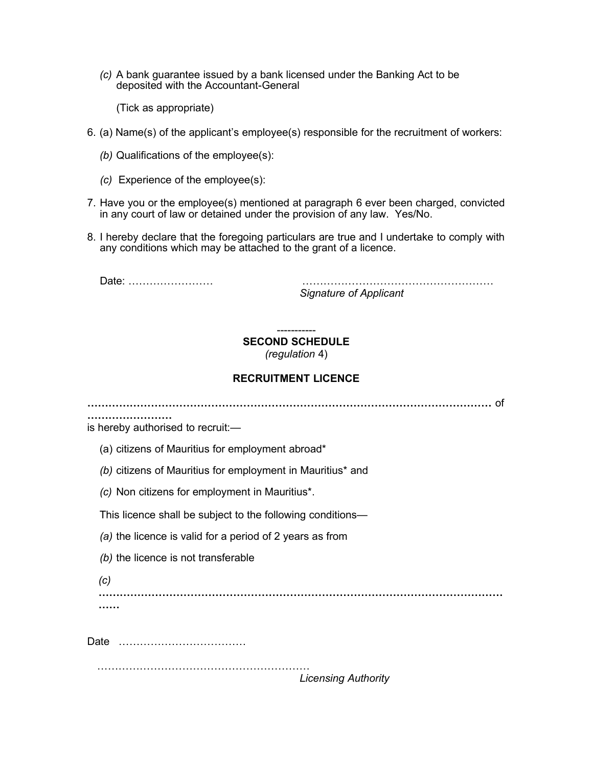*(c)* A bank guarantee issued by a bank licensed under the Banking Act to be deposited with the Accountant-General

(Tick as appropriate)

- 6. (a) Name(s) of the applicant's employee(s) responsible for the recruitment of workers:
	- *(b)* Qualifications of the employee(s):
	- *(c)* Experience of the employee(s):
- 7. Have you or the employee(s) mentioned at paragraph 6 ever been charged, convicted in any court of law or detained under the provision of any law. Yes/No.
- 8. I hereby declare that the foregoing particulars are true and I undertake to comply with any conditions which may be attached to the grant of a licence.

Date: …………………… ………………………………………………

*Signature of Applicant*

-----------

# **SECOND SCHEDULE**

*(regulation* 4)

## **RECRUITMENT LICENCE**

**……………………………………………………………………………………………………** of

is hereby authorised to recruit:—

**……………………** 

- (a) citizens of Mauritius for employment abroad\*
- *(b)* citizens of Mauritius for employment in Mauritius\* and
- *(c)* Non citizens for employment in Mauritius\*.

This licence shall be subject to the following conditions—

- *(a)* the licence is valid for a period of 2 years as from
- *(b)* the licence is not transferable
- *(c)*

**…………………………………………………………………………………………………… ……**

Date ………………………………

……………………………………………………

*Licensing Authority*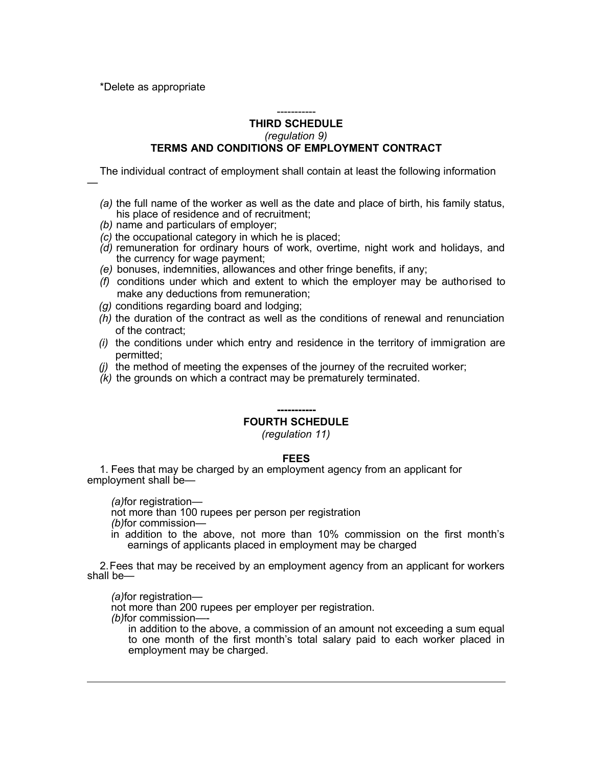\*Delete as appropriate

—

### ----------- **THIRD SCHEDULE** *(regulation 9)* **TERMS AND CONDITIONS OF EMPLOYMENT CONTRACT**

The individual contract of employment shall contain at least the following information

- *(a)* the full name of the worker as well as the date and place of birth, his family status, his place of residence and of recruitment;
- *(b)* name and particulars of employer;
- *(c)* the occupational category in which he is placed;
- *(d)* remuneration for ordinary hours of work, overtime, night work and holidays, and the currency for wage payment;
- *(e)* bonuses, indemnities, allowances and other fringe benefits, if any;
- *(f)* conditions under which and extent to which the employer may be authorised to make any deductions from remuneration;
- *(g)* conditions regarding board and lodging;
- *(h)* the duration of the contract as well as the conditions of renewal and renunciation of the contract;
- *(i)* the conditions under which entry and residence in the territory of immigration are permitted;
- *(j)* the method of meeting the expenses of the journey of the recruited worker;
- *(k)* the grounds on which a contract may be prematurely terminated.

### **-----------**

# **FOURTH SCHEDULE**

*(regulation 11)*

#### **FEES**

1. Fees that may be charged by an employment agency from an applicant for employment shall be—

*(a)*for registration—

not more than 100 rupees per person per registration

*(b)*for commission—

in addition to the above, not more than 10% commission on the first month's earnings of applicants placed in employment may be charged

2.Fees that may be received by an employment agency from an applicant for workers shall be—

*(a)*for registration—

not more than 200 rupees per employer per registration.

*(b)*for commission—-

in addition to the above, a commission of an amount not exceeding a sum equal to one month of the first month's total salary paid to each worker placed in employment may be charged.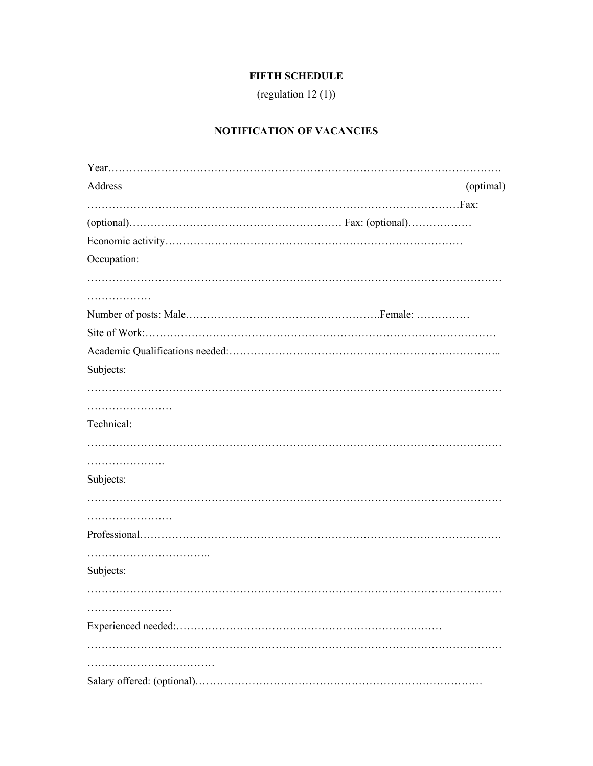# **FIFTH SCHEDULE**

(regulation 12 $(1)$ )

# NOTIFICATION OF VACANCIES

| Address     | (optimal) |
|-------------|-----------|
|             |           |
|             |           |
|             |           |
| Occupation: |           |
|             |           |
| .           |           |
|             |           |
|             |           |
|             |           |
| Subjects:   |           |
|             |           |
|             |           |
| Technical:  |           |
|             |           |
|             |           |
| Subjects:   |           |
|             |           |
|             |           |
|             |           |
|             |           |
| Subjects:   |           |
|             |           |
| .           |           |
|             |           |
|             |           |
|             |           |
|             |           |
|             |           |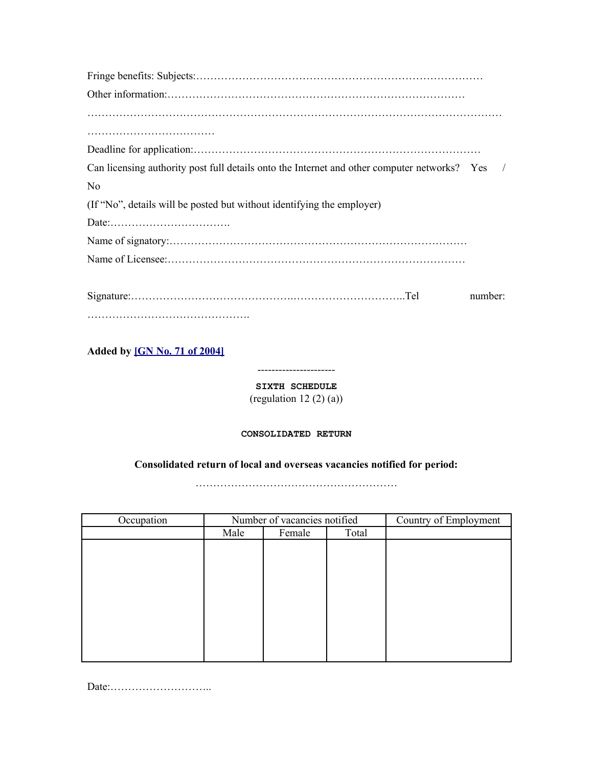| Can licensing authority post full details onto the Internet and other computer networks? Yes / |         |
|------------------------------------------------------------------------------------------------|---------|
| N <sub>0</sub>                                                                                 |         |
| (If "No", details will be posted but without identifying the employer)                         |         |
|                                                                                                |         |
|                                                                                                |         |
|                                                                                                |         |
|                                                                                                | number: |
|                                                                                                |         |

**Added by [\[GN No. 71 of 2004\]](http://www.gov.mu/scourt/doc/showDoc.do?dk=GN%20No.%2071%20of%202004&dt=R)**

**SIXTH SCHEDULE** (regulation 12 $(2)(a)$ )

----------------------

### **CONSOLIDATED RETURN**

## **Consolidated return of local and overseas vacancies notified for period:**

…………………………………………………

| Occupation | Number of vacancies notified |        |       | Country of Employment |
|------------|------------------------------|--------|-------|-----------------------|
|            | Male                         | Female | Total |                       |
|            |                              |        |       |                       |
|            |                              |        |       |                       |
|            |                              |        |       |                       |
|            |                              |        |       |                       |
|            |                              |        |       |                       |
|            |                              |        |       |                       |
|            |                              |        |       |                       |
|            |                              |        |       |                       |
|            |                              |        |       |                       |
|            |                              |        |       |                       |

Date:………………………..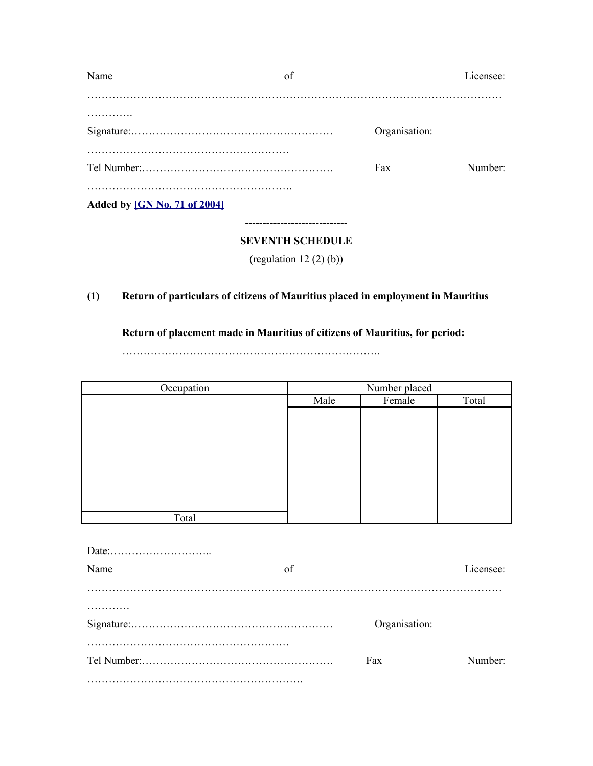| Name                         | of                           |               | Licensee: |
|------------------------------|------------------------------|---------------|-----------|
|                              |                              |               |           |
|                              |                              | Organisation: |           |
|                              |                              | Fax           | Number:   |
| Added by [GN No. 71 of 2004] |                              |               |           |
|                              | <b>SEVENTH SCHEDULE</b>      |               |           |
|                              | (regulation 12 $(2)$ $(b)$ ) |               |           |

# **(1) Return of particulars of citizens of Mauritius placed in employment in Mauritius**

# **Return of placement made in Mauritius of citizens of Mauritius, for period:**

……………………………………………………………….

| Occupation | Number placed |        |       |  |
|------------|---------------|--------|-------|--|
|            | Male          | Female | Total |  |
|            |               |        |       |  |
|            |               |        |       |  |
|            |               |        |       |  |
|            |               |        |       |  |
|            |               |        |       |  |
|            |               |        |       |  |
|            |               |        |       |  |
|            |               |        |       |  |
| Total      |               |        |       |  |
|            |               |        |       |  |

| Name | of |               | Licensee: |
|------|----|---------------|-----------|
|      |    |               |           |
|      |    |               |           |
|      |    | Organisation: |           |
|      |    |               |           |
|      |    |               |           |
|      |    | Fax           | Number:   |
|      |    |               |           |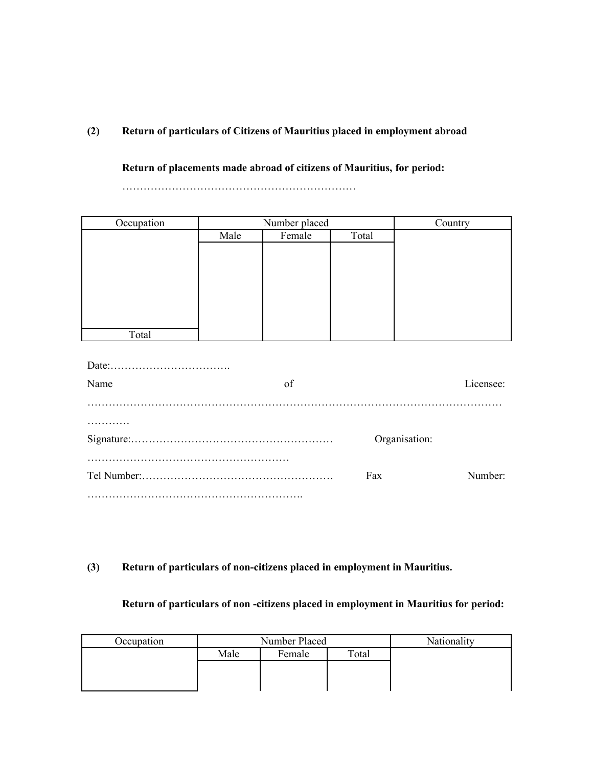# **(2) Return of particulars of Citizens of Mauritius placed in employment abroad**

**Return of placements made abroad of citizens of Mauritius, for period:**

…………………………………………………………

| Occupation    |      | Number placed |         | Country   |  |  |
|---------------|------|---------------|---------|-----------|--|--|
|               | Male | Female        | Total   |           |  |  |
|               |      |               |         |           |  |  |
|               |      |               |         |           |  |  |
|               |      |               |         |           |  |  |
|               |      |               |         |           |  |  |
|               |      |               |         |           |  |  |
|               |      |               |         |           |  |  |
| Total         |      |               |         |           |  |  |
|               |      |               |         |           |  |  |
|               |      |               |         |           |  |  |
| Name          |      | of            |         | Licensee: |  |  |
|               |      |               |         |           |  |  |
|               |      |               |         |           |  |  |
| Organisation: |      |               |         |           |  |  |
|               |      |               |         |           |  |  |
|               |      | Fax           | Number: |           |  |  |
|               |      |               |         |           |  |  |

# **(3) Return of particulars of non-citizens placed in employment in Mauritius.**

# **Return of particulars of non -citizens placed in employment in Mauritius for period:**

| Occupation | Number Placed |        |       | Nationality |
|------------|---------------|--------|-------|-------------|
|            | Male          | Female | Total |             |
|            |               |        |       |             |
|            |               |        |       |             |
|            |               |        |       |             |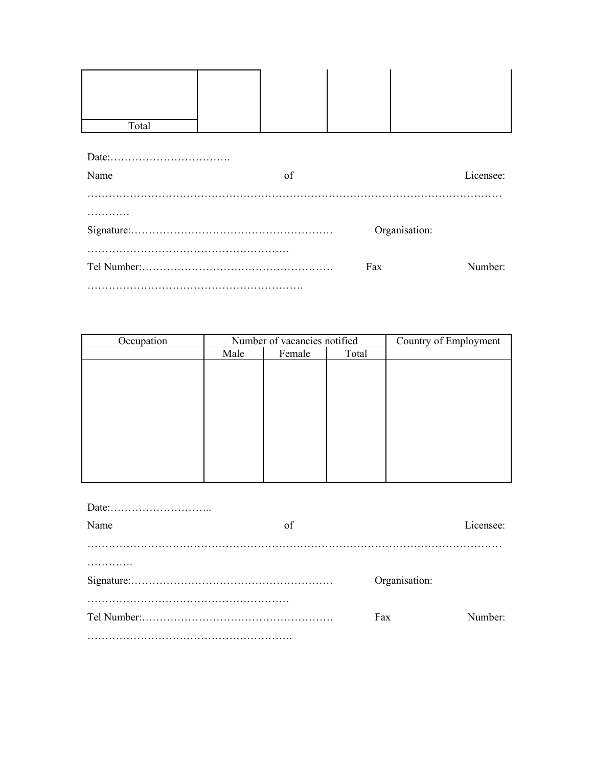| Total          |  |    |  |               |  |  |  |
|----------------|--|----|--|---------------|--|--|--|
|                |  |    |  |               |  |  |  |
|                |  |    |  |               |  |  |  |
| Name           |  | of |  | Licensee:     |  |  |  |
|                |  |    |  |               |  |  |  |
|                |  |    |  |               |  |  |  |
|                |  |    |  | Organisation: |  |  |  |
|                |  |    |  |               |  |  |  |
| Fax<br>Number: |  |    |  |               |  |  |  |
|                |  |    |  |               |  |  |  |

| Occupation | Number of vacancies notified |        |       | Country of Employment |
|------------|------------------------------|--------|-------|-----------------------|
|            | Male                         | Female | Total |                       |
|            |                              |        |       |                       |
|            |                              |        |       |                       |
|            |                              |        |       |                       |
|            |                              |        |       |                       |
|            |                              |        |       |                       |
|            |                              |        |       |                       |
|            |                              |        |       |                       |
|            |                              |        |       |                       |
|            |                              |        |       |                       |
|            |                              |        |       |                       |

| Name | of |               | Licensee: |
|------|----|---------------|-----------|
|      |    |               |           |
|      |    |               |           |
|      |    | Organisation: |           |
|      |    |               |           |
|      |    | Fax           | Number:   |
|      |    |               |           |